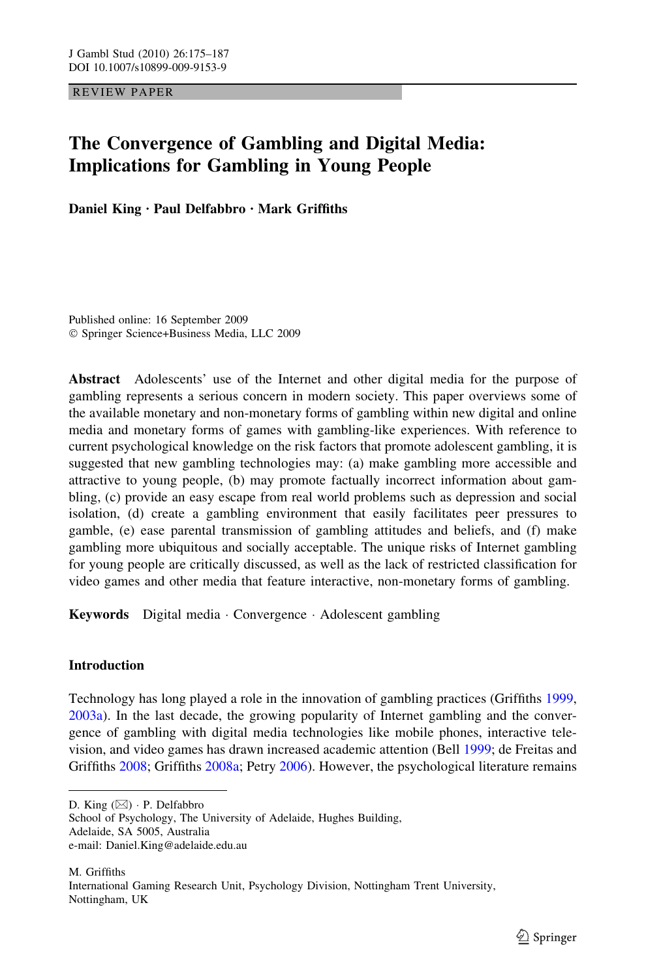REVIEW PAPER

# The Convergence of Gambling and Digital Media: Implications for Gambling in Young People

Daniel King  $\cdot$  Paul Delfabbro  $\cdot$  Mark Griffiths

Published online: 16 September 2009 - Springer Science+Business Media, LLC 2009

Abstract Adolescents' use of the Internet and other digital media for the purpose of gambling represents a serious concern in modern society. This paper overviews some of the available monetary and non-monetary forms of gambling within new digital and online media and monetary forms of games with gambling-like experiences. With reference to current psychological knowledge on the risk factors that promote adolescent gambling, it is suggested that new gambling technologies may: (a) make gambling more accessible and attractive to young people, (b) may promote factually incorrect information about gambling, (c) provide an easy escape from real world problems such as depression and social isolation, (d) create a gambling environment that easily facilitates peer pressures to gamble, (e) ease parental transmission of gambling attitudes and beliefs, and (f) make gambling more ubiquitous and socially acceptable. The unique risks of Internet gambling for young people are critically discussed, as well as the lack of restricted classification for video games and other media that feature interactive, non-monetary forms of gambling.

Keywords Digital media · Convergence · Adolescent gambling

# **Introduction**

Technology has long played a role in the innovation of gambling practices (Griffiths [1999](#page-10-0), [2003a\)](#page-10-0). In the last decade, the growing popularity of Internet gambling and the convergence of gambling with digital media technologies like mobile phones, interactive television, and video games has drawn increased academic attention (Bell [1999](#page-10-0); de Freitas and Griffiths [2008](#page-10-0); Griffiths [2008a;](#page-11-0) Petry [2006](#page-12-0)). However, the psychological literature remains

D. King (⊠) · P. Delfabbro

M. Griffiths International Gaming Research Unit, Psychology Division, Nottingham Trent University, Nottingham, UK

School of Psychology, The University of Adelaide, Hughes Building, Adelaide, SA 5005, Australia e-mail: Daniel.King@adelaide.edu.au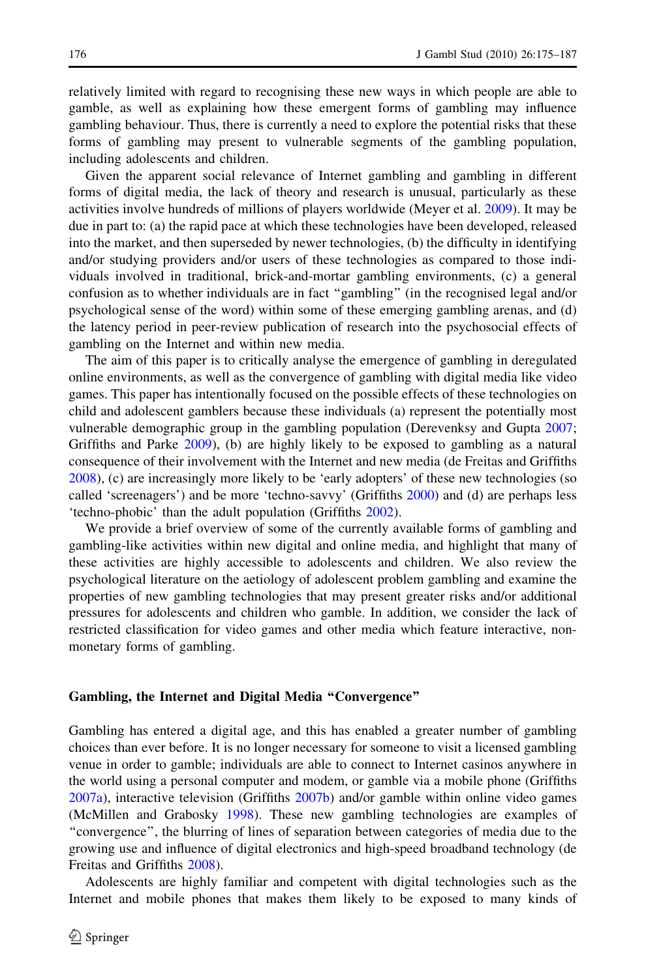relatively limited with regard to recognising these new ways in which people are able to gamble, as well as explaining how these emergent forms of gambling may influence gambling behaviour. Thus, there is currently a need to explore the potential risks that these forms of gambling may present to vulnerable segments of the gambling population, including adolescents and children.

Given the apparent social relevance of Internet gambling and gambling in different forms of digital media, the lack of theory and research is unusual, particularly as these activities involve hundreds of millions of players worldwide (Meyer et al. [2009\)](#page-12-0). It may be due in part to: (a) the rapid pace at which these technologies have been developed, released into the market, and then superseded by newer technologies, (b) the difficulty in identifying and/or studying providers and/or users of these technologies as compared to those individuals involved in traditional, brick-and-mortar gambling environments, (c) a general confusion as to whether individuals are in fact ''gambling'' (in the recognised legal and/or psychological sense of the word) within some of these emerging gambling arenas, and (d) the latency period in peer-review publication of research into the psychosocial effects of gambling on the Internet and within new media.

The aim of this paper is to critically analyse the emergence of gambling in deregulated online environments, as well as the convergence of gambling with digital media like video games. This paper has intentionally focused on the possible effects of these technologies on child and adolescent gamblers because these individuals (a) represent the potentially most vulnerable demographic group in the gambling population (Derevenksy and Gupta [2007;](#page-10-0) Griffiths and Parke [2009](#page-11-0)), (b) are highly likely to be exposed to gambling as a natural consequence of their involvement with the Internet and new media (de Freitas and Griffiths [2008\)](#page-10-0), (c) are increasingly more likely to be 'early adopters' of these new technologies (so called 'screenagers') and be more 'techno-savvy' (Griffiths [2000\)](#page-10-0) and (d) are perhaps less 'techno-phobic' than the adult population (Griffiths [2002\)](#page-10-0).

We provide a brief overview of some of the currently available forms of gambling and gambling-like activities within new digital and online media, and highlight that many of these activities are highly accessible to adolescents and children. We also review the psychological literature on the aetiology of adolescent problem gambling and examine the properties of new gambling technologies that may present greater risks and/or additional pressures for adolescents and children who gamble. In addition, we consider the lack of restricted classification for video games and other media which feature interactive, nonmonetary forms of gambling.

## Gambling, the Internet and Digital Media ''Convergence''

Gambling has entered a digital age, and this has enabled a greater number of gambling choices than ever before. It is no longer necessary for someone to visit a licensed gambling venue in order to gamble; individuals are able to connect to Internet casinos anywhere in the world using a personal computer and modem, or gamble via a mobile phone (Griffiths [2007a\)](#page-11-0), interactive television (Griffiths [2007b](#page-11-0)) and/or gamble within online video games (McMillen and Grabosky [1998\)](#page-12-0). These new gambling technologies are examples of ''convergence'', the blurring of lines of separation between categories of media due to the growing use and influence of digital electronics and high-speed broadband technology (de Freitas and Griffiths [2008\)](#page-10-0).

Adolescents are highly familiar and competent with digital technologies such as the Internet and mobile phones that makes them likely to be exposed to many kinds of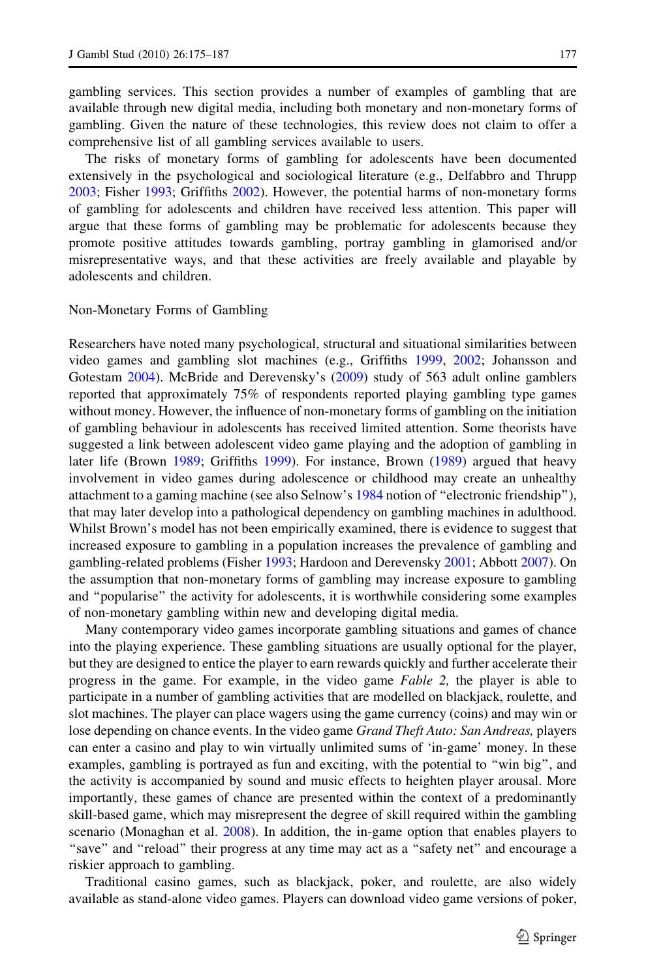gambling services. This section provides a number of examples of gambling that are available through new digital media, including both monetary and non-monetary forms of gambling. Given the nature of these technologies, this review does not claim to offer a comprehensive list of all gambling services available to users.

The risks of monetary forms of gambling for adolescents have been documented extensively in the psychological and sociological literature (e.g., Delfabbro and Thrupp [2003;](#page-10-0) Fisher [1993](#page-10-0); Griffiths [2002\)](#page-10-0). However, the potential harms of non-monetary forms of gambling for adolescents and children have received less attention. This paper will argue that these forms of gambling may be problematic for adolescents because they promote positive attitudes towards gambling, portray gambling in glamorised and/or misrepresentative ways, and that these activities are freely available and playable by adolescents and children.

# Non-Monetary Forms of Gambling

Researchers have noted many psychological, structural and situational similarities between video games and gambling slot machines (e.g., Griffiths [1999](#page-10-0), [2002](#page-10-0); Johansson and Gotestam [2004\)](#page-11-0). McBride and Derevensky's [\(2009](#page-11-0)) study of 563 adult online gamblers reported that approximately 75% of respondents reported playing gambling type games without money. However, the influence of non-monetary forms of gambling on the initiation of gambling behaviour in adolescents has received limited attention. Some theorists have suggested a link between adolescent video game playing and the adoption of gambling in later life (Brown [1989](#page-10-0); Griffiths [1999](#page-10-0)). For instance, Brown ([1989](#page-10-0)) argued that heavy involvement in video games during adolescence or childhood may create an unhealthy attachment to a gaming machine (see also Selnow's [1984](#page-12-0) notion of ''electronic friendship''), that may later develop into a pathological dependency on gambling machines in adulthood. Whilst Brown's model has not been empirically examined, there is evidence to suggest that increased exposure to gambling in a population increases the prevalence of gambling and gambling-related problems (Fisher [1993](#page-10-0); Hardoon and Derevensky [2001](#page-11-0); Abbott [2007](#page-10-0)). On the assumption that non-monetary forms of gambling may increase exposure to gambling and ''popularise'' the activity for adolescents, it is worthwhile considering some examples of non-monetary gambling within new and developing digital media.

Many contemporary video games incorporate gambling situations and games of chance into the playing experience. These gambling situations are usually optional for the player, but they are designed to entice the player to earn rewards quickly and further accelerate their progress in the game. For example, in the video game Fable 2, the player is able to participate in a number of gambling activities that are modelled on blackjack, roulette, and slot machines. The player can place wagers using the game currency (coins) and may win or lose depending on chance events. In the video game Grand Theft Auto: San Andreas, players can enter a casino and play to win virtually unlimited sums of 'in-game' money. In these examples, gambling is portrayed as fun and exciting, with the potential to ''win big'', and the activity is accompanied by sound and music effects to heighten player arousal. More importantly, these games of chance are presented within the context of a predominantly skill-based game, which may misrepresent the degree of skill required within the gambling scenario (Monaghan et al. [2008\)](#page-12-0). In addition, the in-game option that enables players to "save" and "reload" their progress at any time may act as a "safety net" and encourage a riskier approach to gambling.

Traditional casino games, such as blackjack, poker, and roulette, are also widely available as stand-alone video games. Players can download video game versions of poker,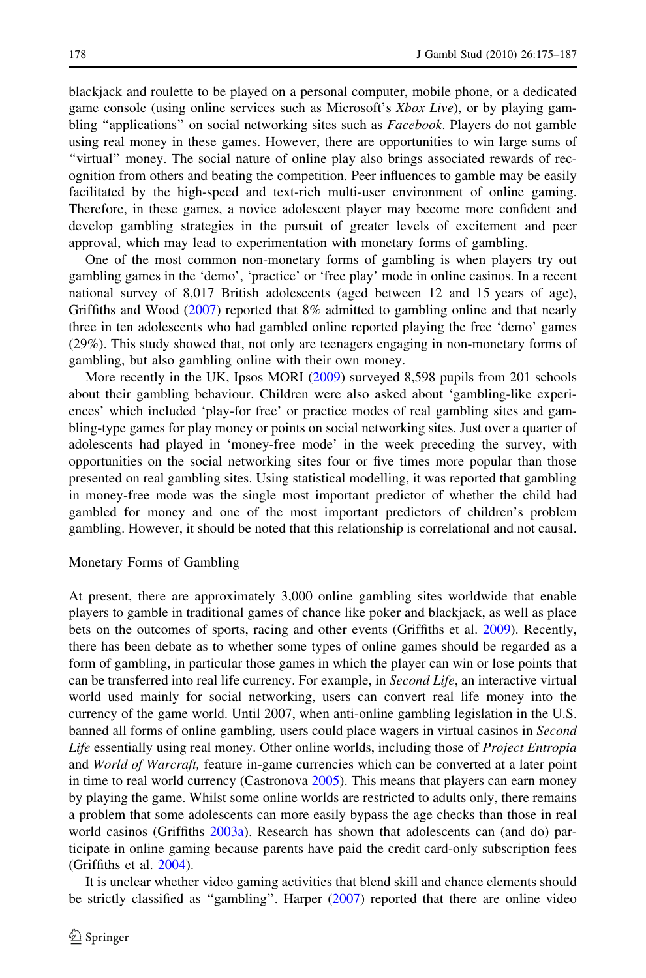blackjack and roulette to be played on a personal computer, mobile phone, or a dedicated game console (using online services such as Microsoft's *Xbox Live*), or by playing gambling "applications" on social networking sites such as Facebook. Players do not gamble using real money in these games. However, there are opportunities to win large sums of ''virtual'' money. The social nature of online play also brings associated rewards of recognition from others and beating the competition. Peer influences to gamble may be easily facilitated by the high-speed and text-rich multi-user environment of online gaming. Therefore, in these games, a novice adolescent player may become more confident and develop gambling strategies in the pursuit of greater levels of excitement and peer approval, which may lead to experimentation with monetary forms of gambling.

One of the most common non-monetary forms of gambling is when players try out gambling games in the 'demo', 'practice' or 'free play' mode in online casinos. In a recent national survey of 8,017 British adolescents (aged between 12 and 15 years of age), Griffiths and Wood [\(2007](#page-11-0)) reported that 8% admitted to gambling online and that nearly three in ten adolescents who had gambled online reported playing the free 'demo' games (29%). This study showed that, not only are teenagers engaging in non-monetary forms of gambling, but also gambling online with their own money.

More recently in the UK, Ipsos MORI ([2009\)](#page-11-0) surveyed 8,598 pupils from 201 schools about their gambling behaviour. Children were also asked about 'gambling-like experiences' which included 'play-for free' or practice modes of real gambling sites and gambling-type games for play money or points on social networking sites. Just over a quarter of adolescents had played in 'money-free mode' in the week preceding the survey, with opportunities on the social networking sites four or five times more popular than those presented on real gambling sites. Using statistical modelling, it was reported that gambling in money-free mode was the single most important predictor of whether the child had gambled for money and one of the most important predictors of children's problem gambling. However, it should be noted that this relationship is correlational and not causal.

## Monetary Forms of Gambling

At present, there are approximately 3,000 online gambling sites worldwide that enable players to gamble in traditional games of chance like poker and blackjack, as well as place bets on the outcomes of sports, racing and other events (Griffiths et al. [2009\)](#page-11-0). Recently, there has been debate as to whether some types of online games should be regarded as a form of gambling, in particular those games in which the player can win or lose points that can be transferred into real life currency. For example, in *Second Life*, an interactive virtual world used mainly for social networking, users can convert real life money into the currency of the game world. Until 2007, when anti-online gambling legislation in the U.S. banned all forms of online gambling, users could place wagers in virtual casinos in Second Life essentially using real money. Other online worlds, including those of *Project Entropia* and World of Warcraft, feature in-game currencies which can be converted at a later point in time to real world currency (Castronova [2005](#page-10-0)). This means that players can earn money by playing the game. Whilst some online worlds are restricted to adults only, there remains a problem that some adolescents can more easily bypass the age checks than those in real world casinos (Griffiths [2003a](#page-10-0)). Research has shown that adolescents can (and do) participate in online gaming because parents have paid the credit card-only subscription fees (Griffiths et al. [2004](#page-11-0)).

It is unclear whether video gaming activities that blend skill and chance elements should be strictly classified as ''gambling''. Harper [\(2007](#page-11-0)) reported that there are online video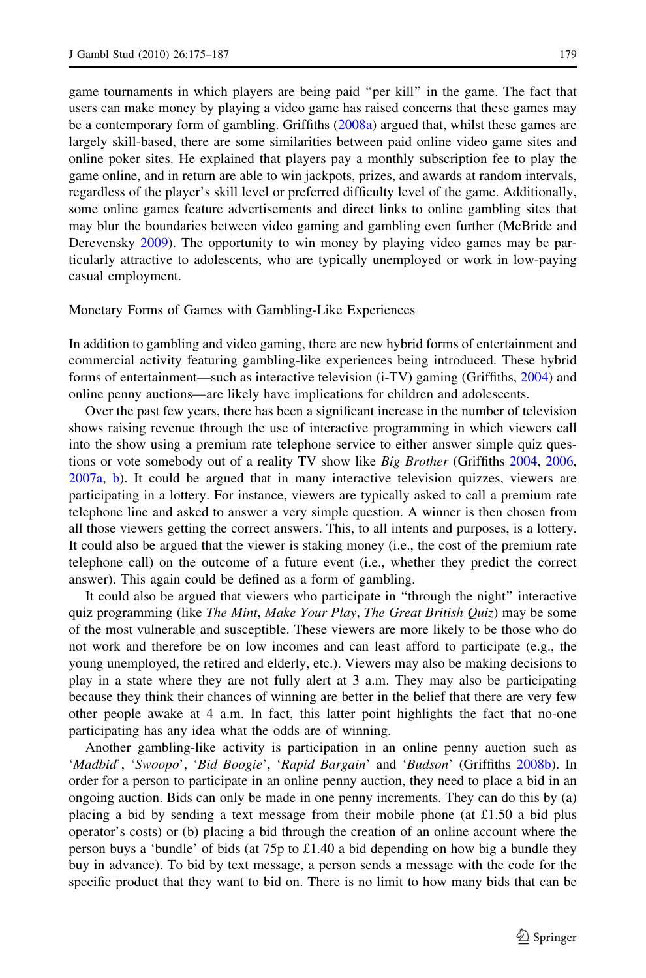game tournaments in which players are being paid ''per kill'' in the game. The fact that users can make money by playing a video game has raised concerns that these games may be a contemporary form of gambling. Griffiths [\(2008a](#page-11-0)) argued that, whilst these games are largely skill-based, there are some similarities between paid online video game sites and online poker sites. He explained that players pay a monthly subscription fee to play the game online, and in return are able to win jackpots, prizes, and awards at random intervals, regardless of the player's skill level or preferred difficulty level of the game. Additionally, some online games feature advertisements and direct links to online gambling sites that may blur the boundaries between video gaming and gambling even further (McBride and Derevensky [2009](#page-11-0)). The opportunity to win money by playing video games may be particularly attractive to adolescents, who are typically unemployed or work in low-paying casual employment.

Monetary Forms of Games with Gambling-Like Experiences

In addition to gambling and video gaming, there are new hybrid forms of entertainment and commercial activity featuring gambling-like experiences being introduced. These hybrid forms of entertainment—such as interactive television (i-TV) gaming (Griffiths, [2004](#page-10-0)) and online penny auctions—are likely have implications for children and adolescents.

Over the past few years, there has been a significant increase in the number of television shows raising revenue through the use of interactive programming in which viewers call into the show using a premium rate telephone service to either answer simple quiz questions or vote somebody out of a reality TV show like Big Brother (Griffiths [2004,](#page-10-0) [2006](#page-11-0), [2007a,](#page-11-0) [b](#page-11-0)). It could be argued that in many interactive television quizzes, viewers are participating in a lottery. For instance, viewers are typically asked to call a premium rate telephone line and asked to answer a very simple question. A winner is then chosen from all those viewers getting the correct answers. This, to all intents and purposes, is a lottery. It could also be argued that the viewer is staking money (i.e., the cost of the premium rate telephone call) on the outcome of a future event (i.e., whether they predict the correct answer). This again could be defined as a form of gambling.

It could also be argued that viewers who participate in ''through the night'' interactive quiz programming (like The Mint, Make Your Play, The Great British Quiz) may be some of the most vulnerable and susceptible. These viewers are more likely to be those who do not work and therefore be on low incomes and can least afford to participate (e.g., the young unemployed, the retired and elderly, etc.). Viewers may also be making decisions to play in a state where they are not fully alert at 3 a.m. They may also be participating because they think their chances of winning are better in the belief that there are very few other people awake at 4 a.m. In fact, this latter point highlights the fact that no-one participating has any idea what the odds are of winning.

Another gambling-like activity is participation in an online penny auction such as 'Madbid', 'Swoopo', 'Bid Boogie', 'Rapid Bargain' and 'Budson' (Griffiths [2008b](#page-11-0)). In order for a person to participate in an online penny auction, they need to place a bid in an ongoing auction. Bids can only be made in one penny increments. They can do this by (a) placing a bid by sending a text message from their mobile phone (at £1.50 a bid plus operator's costs) or (b) placing a bid through the creation of an online account where the person buys a 'bundle' of bids (at 75p to £1.40 a bid depending on how big a bundle they buy in advance). To bid by text message, a person sends a message with the code for the specific product that they want to bid on. There is no limit to how many bids that can be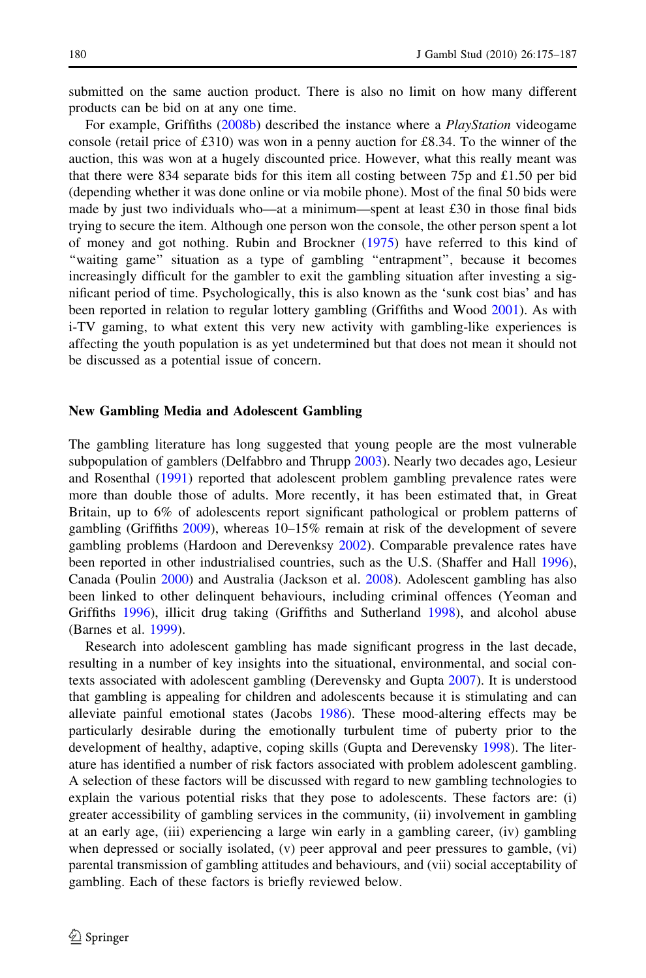submitted on the same auction product. There is also no limit on how many different products can be bid on at any one time.

For example, Griffiths ([2008b](#page-11-0)) described the instance where a *PlayStation* videogame console (retail price of £310) was won in a penny auction for £8.34. To the winner of the auction, this was won at a hugely discounted price. However, what this really meant was that there were 834 separate bids for this item all costing between 75p and £1.50 per bid (depending whether it was done online or via mobile phone). Most of the final 50 bids were made by just two individuals who—at a minimum—spent at least £30 in those final bids trying to secure the item. Although one person won the console, the other person spent a lot of money and got nothing. Rubin and Brockner [\(1975](#page-12-0)) have referred to this kind of ''waiting game'' situation as a type of gambling ''entrapment'', because it becomes increasingly difficult for the gambler to exit the gambling situation after investing a significant period of time. Psychologically, this is also known as the 'sunk cost bias' and has been reported in relation to regular lottery gambling (Griffiths and Wood [2001](#page-11-0)). As with i-TV gaming, to what extent this very new activity with gambling-like experiences is affecting the youth population is as yet undetermined but that does not mean it should not be discussed as a potential issue of concern.

## New Gambling Media and Adolescent Gambling

The gambling literature has long suggested that young people are the most vulnerable subpopulation of gamblers (Delfabbro and Thrupp [2003](#page-10-0)). Nearly two decades ago, Lesieur and Rosenthal [\(1991](#page-11-0)) reported that adolescent problem gambling prevalence rates were more than double those of adults. More recently, it has been estimated that, in Great Britain, up to 6% of adolescents report significant pathological or problem patterns of gambling (Griffiths [2009](#page-11-0)), whereas 10–15% remain at risk of the development of severe gambling problems (Hardoon and Derevenksy [2002\)](#page-11-0). Comparable prevalence rates have been reported in other industrialised countries, such as the U.S. (Shaffer and Hall [1996](#page-12-0)), Canada (Poulin [2000\)](#page-12-0) and Australia (Jackson et al. [2008\)](#page-11-0). Adolescent gambling has also been linked to other delinquent behaviours, including criminal offences (Yeoman and Griffiths [1996](#page-12-0)), illicit drug taking (Griffiths and Sutherland [1998](#page-11-0)), and alcohol abuse (Barnes et al. [1999\)](#page-10-0).

Research into adolescent gambling has made significant progress in the last decade, resulting in a number of key insights into the situational, environmental, and social contexts associated with adolescent gambling (Derevensky and Gupta [2007](#page-10-0)). It is understood that gambling is appealing for children and adolescents because it is stimulating and can alleviate painful emotional states (Jacobs [1986](#page-11-0)). These mood-altering effects may be particularly desirable during the emotionally turbulent time of puberty prior to the development of healthy, adaptive, coping skills (Gupta and Derevensky [1998](#page-11-0)). The literature has identified a number of risk factors associated with problem adolescent gambling. A selection of these factors will be discussed with regard to new gambling technologies to explain the various potential risks that they pose to adolescents. These factors are: (i) greater accessibility of gambling services in the community, (ii) involvement in gambling at an early age, (iii) experiencing a large win early in a gambling career, (iv) gambling when depressed or socially isolated, (v) peer approval and peer pressures to gamble, (vi) parental transmission of gambling attitudes and behaviours, and (vii) social acceptability of gambling. Each of these factors is briefly reviewed below.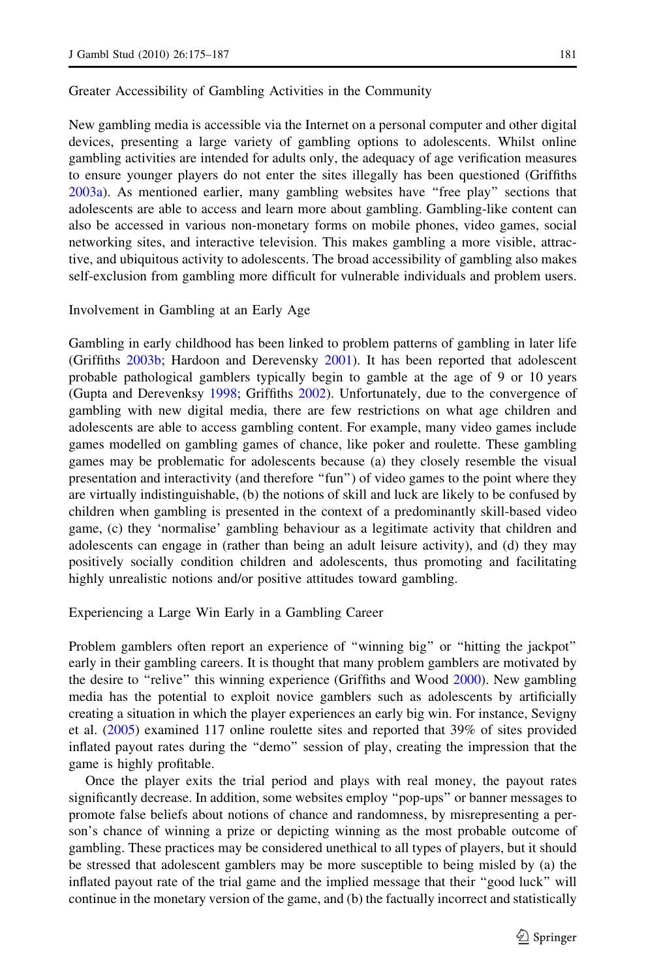New gambling media is accessible via the Internet on a personal computer and other digital devices, presenting a large variety of gambling options to adolescents. Whilst online gambling activities are intended for adults only, the adequacy of age verification measures to ensure younger players do not enter the sites illegally has been questioned (Griffiths [2003a\)](#page-10-0). As mentioned earlier, many gambling websites have ''free play'' sections that adolescents are able to access and learn more about gambling. Gambling-like content can also be accessed in various non-monetary forms on mobile phones, video games, social networking sites, and interactive television. This makes gambling a more visible, attractive, and ubiquitous activity to adolescents. The broad accessibility of gambling also makes self-exclusion from gambling more difficult for vulnerable individuals and problem users.

# Involvement in Gambling at an Early Age

Gambling in early childhood has been linked to problem patterns of gambling in later life (Griffiths [2003b;](#page-10-0) Hardoon and Derevensky [2001\)](#page-11-0). It has been reported that adolescent probable pathological gamblers typically begin to gamble at the age of 9 or 10 years (Gupta and Derevenksy [1998](#page-11-0); Griffiths [2002\)](#page-10-0). Unfortunately, due to the convergence of gambling with new digital media, there are few restrictions on what age children and adolescents are able to access gambling content. For example, many video games include games modelled on gambling games of chance, like poker and roulette. These gambling games may be problematic for adolescents because (a) they closely resemble the visual presentation and interactivity (and therefore ''fun'') of video games to the point where they are virtually indistinguishable, (b) the notions of skill and luck are likely to be confused by children when gambling is presented in the context of a predominantly skill-based video game, (c) they 'normalise' gambling behaviour as a legitimate activity that children and adolescents can engage in (rather than being an adult leisure activity), and (d) they may positively socially condition children and adolescents, thus promoting and facilitating highly unrealistic notions and/or positive attitudes toward gambling.

Experiencing a Large Win Early in a Gambling Career

Problem gamblers often report an experience of ''winning big'' or ''hitting the jackpot'' early in their gambling careers. It is thought that many problem gamblers are motivated by the desire to ''relive'' this winning experience (Griffiths and Wood [2000](#page-11-0)). New gambling media has the potential to exploit novice gamblers such as adolescents by artificially creating a situation in which the player experiences an early big win. For instance, Sevigny et al. ([2005\)](#page-12-0) examined 117 online roulette sites and reported that 39% of sites provided inflated payout rates during the ''demo'' session of play, creating the impression that the game is highly profitable.

Once the player exits the trial period and plays with real money, the payout rates significantly decrease. In addition, some websites employ ''pop-ups'' or banner messages to promote false beliefs about notions of chance and randomness, by misrepresenting a person's chance of winning a prize or depicting winning as the most probable outcome of gambling. These practices may be considered unethical to all types of players, but it should be stressed that adolescent gamblers may be more susceptible to being misled by (a) the inflated payout rate of the trial game and the implied message that their ''good luck'' will continue in the monetary version of the game, and (b) the factually incorrect and statistically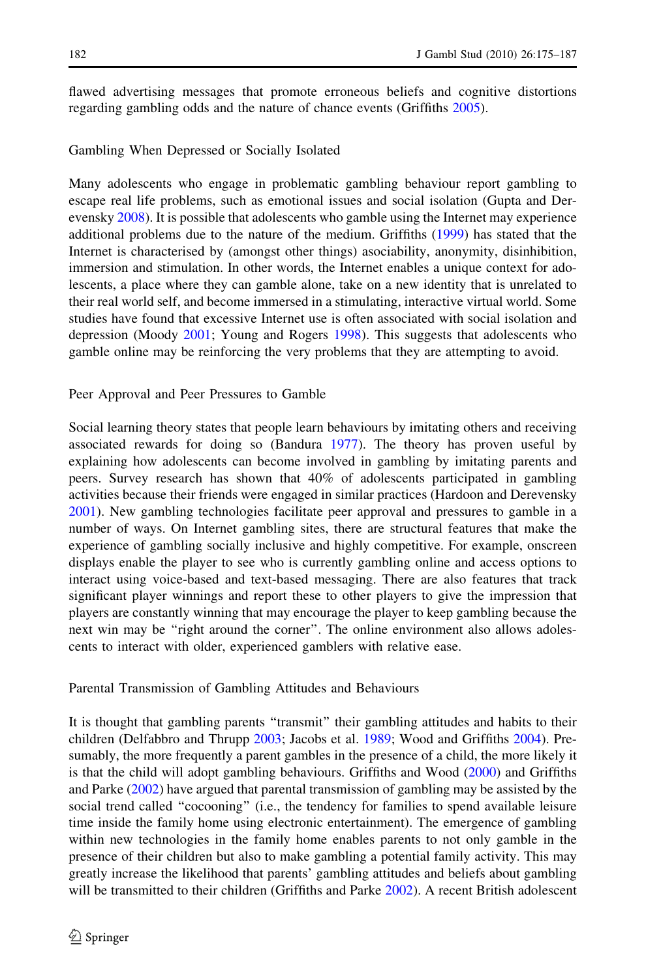flawed advertising messages that promote erroneous beliefs and cognitive distortions regarding gambling odds and the nature of chance events (Griffiths [2005\)](#page-10-0).

# Gambling When Depressed or Socially Isolated

Many adolescents who engage in problematic gambling behaviour report gambling to escape real life problems, such as emotional issues and social isolation (Gupta and Derevensky [2008\)](#page-11-0). It is possible that adolescents who gamble using the Internet may experience additional problems due to the nature of the medium. Griffiths ([1999\)](#page-10-0) has stated that the Internet is characterised by (amongst other things) asociability, anonymity, disinhibition, immersion and stimulation. In other words, the Internet enables a unique context for adolescents, a place where they can gamble alone, take on a new identity that is unrelated to their real world self, and become immersed in a stimulating, interactive virtual world. Some studies have found that excessive Internet use is often associated with social isolation and depression (Moody [2001;](#page-12-0) Young and Rogers [1998\)](#page-12-0). This suggests that adolescents who gamble online may be reinforcing the very problems that they are attempting to avoid.

# Peer Approval and Peer Pressures to Gamble

Social learning theory states that people learn behaviours by imitating others and receiving associated rewards for doing so (Bandura [1977\)](#page-10-0). The theory has proven useful by explaining how adolescents can become involved in gambling by imitating parents and peers. Survey research has shown that 40% of adolescents participated in gambling activities because their friends were engaged in similar practices (Hardoon and Derevensky [2001\)](#page-11-0). New gambling technologies facilitate peer approval and pressures to gamble in a number of ways. On Internet gambling sites, there are structural features that make the experience of gambling socially inclusive and highly competitive. For example, onscreen displays enable the player to see who is currently gambling online and access options to interact using voice-based and text-based messaging. There are also features that track significant player winnings and report these to other players to give the impression that players are constantly winning that may encourage the player to keep gambling because the next win may be "right around the corner". The online environment also allows adolescents to interact with older, experienced gamblers with relative ease.

# Parental Transmission of Gambling Attitudes and Behaviours

It is thought that gambling parents ''transmit'' their gambling attitudes and habits to their children (Delfabbro and Thrupp [2003;](#page-10-0) Jacobs et al. [1989](#page-11-0); Wood and Griffiths [2004](#page-12-0)). Presumably, the more frequently a parent gambles in the presence of a child, the more likely it is that the child will adopt gambling behaviours. Griffiths and Wood ([2000\)](#page-11-0) and Griffiths and Parke [\(2002](#page-11-0)) have argued that parental transmission of gambling may be assisted by the social trend called "cocooning" (i.e., the tendency for families to spend available leisure time inside the family home using electronic entertainment). The emergence of gambling within new technologies in the family home enables parents to not only gamble in the presence of their children but also to make gambling a potential family activity. This may greatly increase the likelihood that parents' gambling attitudes and beliefs about gambling will be transmitted to their children (Griffiths and Parke [2002](#page-11-0)). A recent British adolescent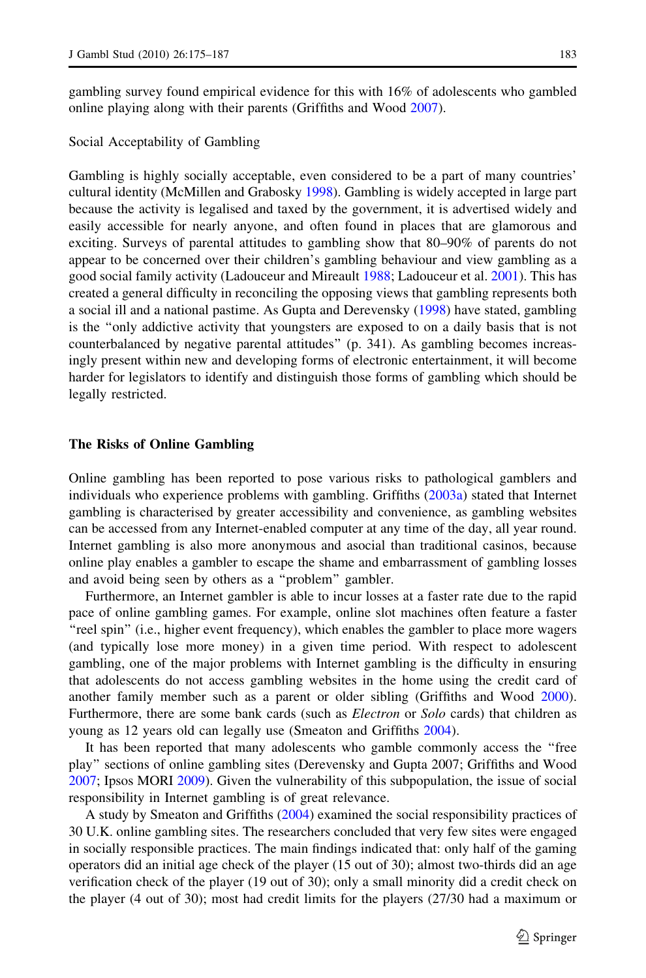gambling survey found empirical evidence for this with 16% of adolescents who gambled online playing along with their parents (Griffiths and Wood [2007](#page-11-0)).

Social Acceptability of Gambling

Gambling is highly socially acceptable, even considered to be a part of many countries' cultural identity (McMillen and Grabosky [1998\)](#page-12-0). Gambling is widely accepted in large part because the activity is legalised and taxed by the government, it is advertised widely and easily accessible for nearly anyone, and often found in places that are glamorous and exciting. Surveys of parental attitudes to gambling show that 80–90% of parents do not appear to be concerned over their children's gambling behaviour and view gambling as a good social family activity (Ladouceur and Mireault [1988;](#page-11-0) Ladouceur et al. [2001](#page-11-0)). This has created a general difficulty in reconciling the opposing views that gambling represents both a social ill and a national pastime. As Gupta and Derevensky ([1998\)](#page-11-0) have stated, gambling is the ''only addictive activity that youngsters are exposed to on a daily basis that is not counterbalanced by negative parental attitudes'' (p. 341). As gambling becomes increasingly present within new and developing forms of electronic entertainment, it will become harder for legislators to identify and distinguish those forms of gambling which should be legally restricted.

#### The Risks of Online Gambling

Online gambling has been reported to pose various risks to pathological gamblers and individuals who experience problems with gambling. Griffiths ([2003a\)](#page-10-0) stated that Internet gambling is characterised by greater accessibility and convenience, as gambling websites can be accessed from any Internet-enabled computer at any time of the day, all year round. Internet gambling is also more anonymous and asocial than traditional casinos, because online play enables a gambler to escape the shame and embarrassment of gambling losses and avoid being seen by others as a ''problem'' gambler.

Furthermore, an Internet gambler is able to incur losses at a faster rate due to the rapid pace of online gambling games. For example, online slot machines often feature a faster ''reel spin'' (i.e., higher event frequency), which enables the gambler to place more wagers (and typically lose more money) in a given time period. With respect to adolescent gambling, one of the major problems with Internet gambling is the difficulty in ensuring that adolescents do not access gambling websites in the home using the credit card of another family member such as a parent or older sibling (Griffiths and Wood [2000](#page-11-0)). Furthermore, there are some bank cards (such as *Electron* or *Solo* cards) that children as young as 12 years old can legally use (Smeaton and Griffiths [2004](#page-12-0)).

It has been reported that many adolescents who gamble commonly access the ''free play'' sections of online gambling sites (Derevensky and Gupta 2007; Griffiths and Wood [2007;](#page-11-0) Ipsos MORI [2009\)](#page-11-0). Given the vulnerability of this subpopulation, the issue of social responsibility in Internet gambling is of great relevance.

A study by Smeaton and Griffiths ([2004\)](#page-12-0) examined the social responsibility practices of 30 U.K. online gambling sites. The researchers concluded that very few sites were engaged in socially responsible practices. The main findings indicated that: only half of the gaming operators did an initial age check of the player (15 out of 30); almost two-thirds did an age verification check of the player (19 out of 30); only a small minority did a credit check on the player (4 out of 30); most had credit limits for the players (27/30 had a maximum or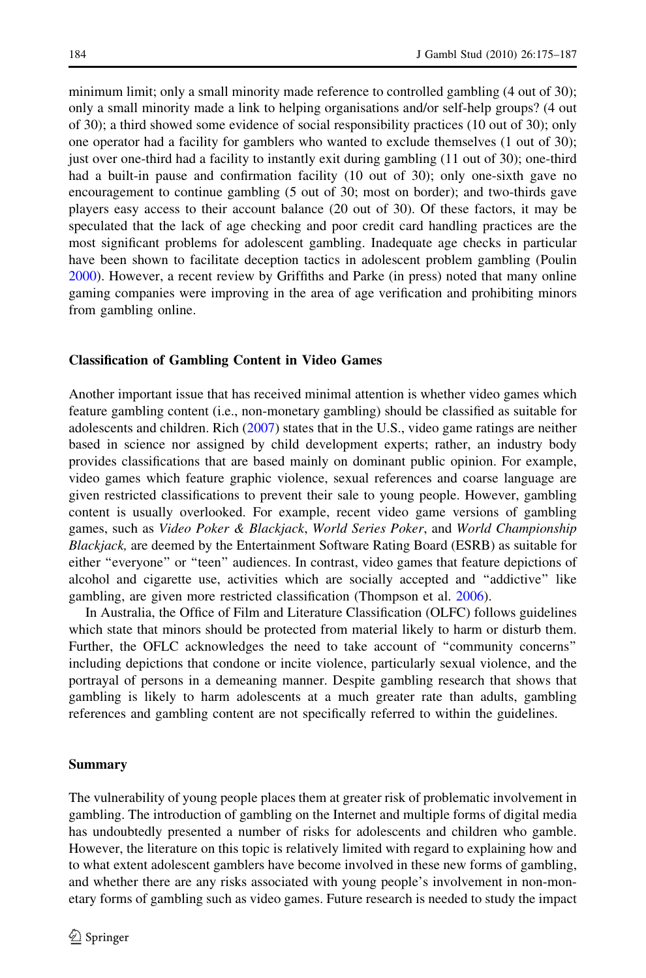minimum limit; only a small minority made reference to controlled gambling (4 out of 30); only a small minority made a link to helping organisations and/or self-help groups? (4 out of 30); a third showed some evidence of social responsibility practices (10 out of 30); only one operator had a facility for gamblers who wanted to exclude themselves (1 out of 30); just over one-third had a facility to instantly exit during gambling (11 out of 30); one-third had a built-in pause and confirmation facility (10 out of 30); only one-sixth gave no encouragement to continue gambling (5 out of 30; most on border); and two-thirds gave players easy access to their account balance (20 out of 30). Of these factors, it may be speculated that the lack of age checking and poor credit card handling practices are the most significant problems for adolescent gambling. Inadequate age checks in particular have been shown to facilitate deception tactics in adolescent problem gambling (Poulin [2000\)](#page-12-0). However, a recent review by Griffiths and Parke (in press) noted that many online gaming companies were improving in the area of age verification and prohibiting minors from gambling online.

## Classification of Gambling Content in Video Games

Another important issue that has received minimal attention is whether video games which feature gambling content (i.e., non-monetary gambling) should be classified as suitable for adolescents and children. Rich [\(2007](#page-12-0)) states that in the U.S., video game ratings are neither based in science nor assigned by child development experts; rather, an industry body provides classifications that are based mainly on dominant public opinion. For example, video games which feature graphic violence, sexual references and coarse language are given restricted classifications to prevent their sale to young people. However, gambling content is usually overlooked. For example, recent video game versions of gambling games, such as Video Poker & Blackjack, World Series Poker, and World Championship Blackjack, are deemed by the Entertainment Software Rating Board (ESRB) as suitable for either "everyone" or "teen" audiences. In contrast, video games that feature depictions of alcohol and cigarette use, activities which are socially accepted and ''addictive'' like gambling, are given more restricted classification (Thompson et al. [2006](#page-12-0)).

In Australia, the Office of Film and Literature Classification (OLFC) follows guidelines which state that minors should be protected from material likely to harm or disturb them. Further, the OFLC acknowledges the need to take account of ''community concerns'' including depictions that condone or incite violence, particularly sexual violence, and the portrayal of persons in a demeaning manner. Despite gambling research that shows that gambling is likely to harm adolescents at a much greater rate than adults, gambling references and gambling content are not specifically referred to within the guidelines.

#### Summary

The vulnerability of young people places them at greater risk of problematic involvement in gambling. The introduction of gambling on the Internet and multiple forms of digital media has undoubtedly presented a number of risks for adolescents and children who gamble. However, the literature on this topic is relatively limited with regard to explaining how and to what extent adolescent gamblers have become involved in these new forms of gambling, and whether there are any risks associated with young people's involvement in non-monetary forms of gambling such as video games. Future research is needed to study the impact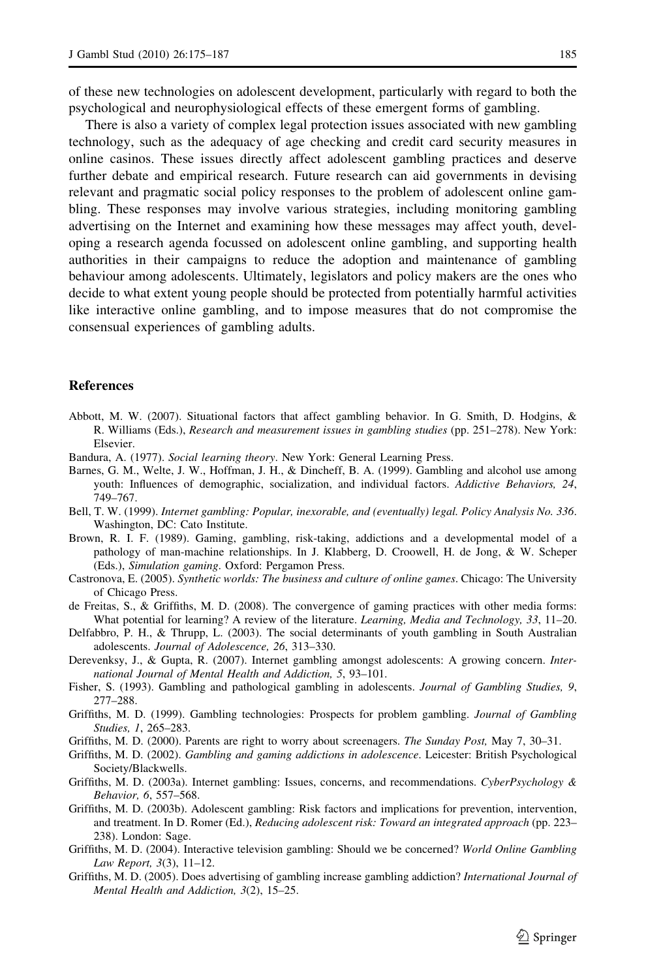<span id="page-10-0"></span>of these new technologies on adolescent development, particularly with regard to both the psychological and neurophysiological effects of these emergent forms of gambling.

There is also a variety of complex legal protection issues associated with new gambling technology, such as the adequacy of age checking and credit card security measures in online casinos. These issues directly affect adolescent gambling practices and deserve further debate and empirical research. Future research can aid governments in devising relevant and pragmatic social policy responses to the problem of adolescent online gambling. These responses may involve various strategies, including monitoring gambling advertising on the Internet and examining how these messages may affect youth, developing a research agenda focussed on adolescent online gambling, and supporting health authorities in their campaigns to reduce the adoption and maintenance of gambling behaviour among adolescents. Ultimately, legislators and policy makers are the ones who decide to what extent young people should be protected from potentially harmful activities like interactive online gambling, and to impose measures that do not compromise the consensual experiences of gambling adults.

# References

- Abbott, M. W. (2007). Situational factors that affect gambling behavior. In G. Smith, D. Hodgins, & R. Williams (Eds.), Research and measurement issues in gambling studies (pp. 251–278). New York: Elsevier.
- Bandura, A. (1977). Social learning theory. New York: General Learning Press.
- Barnes, G. M., Welte, J. W., Hoffman, J. H., & Dincheff, B. A. (1999). Gambling and alcohol use among youth: Influences of demographic, socialization, and individual factors. Addictive Behaviors, 24, 749–767.
- Bell, T. W. (1999). Internet gambling: Popular, inexorable, and (eventually) legal. Policy Analysis No. 336. Washington, DC: Cato Institute.
- Brown, R. I. F. (1989). Gaming, gambling, risk-taking, addictions and a developmental model of a pathology of man-machine relationships. In J. Klabberg, D. Croowell, H. de Jong, & W. Scheper (Eds.), Simulation gaming. Oxford: Pergamon Press.
- Castronova, E. (2005). Synthetic worlds: The business and culture of online games. Chicago: The University of Chicago Press.
- de Freitas, S., & Griffiths, M. D. (2008). The convergence of gaming practices with other media forms: What potential for learning? A review of the literature. *Learning, Media and Technology, 33*, 11–20.
- Delfabbro, P. H., & Thrupp, L. (2003). The social determinants of youth gambling in South Australian adolescents. Journal of Adolescence, 26, 313–330.
- Derevenksy, J., & Gupta, R. (2007). Internet gambling amongst adolescents: A growing concern. International Journal of Mental Health and Addiction, 5, 93–101.
- Fisher, S. (1993). Gambling and pathological gambling in adolescents. Journal of Gambling Studies, 9, 277–288.
- Griffiths, M. D. (1999). Gambling technologies: Prospects for problem gambling. Journal of Gambling Studies, 1, 265–283.
- Griffiths, M. D. (2000). Parents are right to worry about screenagers. The Sunday Post, May 7, 30–31.
- Griffiths, M. D. (2002). *Gambling and gaming addictions in adolescence*. Leicester: British Psychological Society/Blackwells.
- Griffiths, M. D. (2003a). Internet gambling: Issues, concerns, and recommendations. CyberPsychology & Behavior, 6, 557–568.
- Griffiths, M. D. (2003b). Adolescent gambling: Risk factors and implications for prevention, intervention, and treatment. In D. Romer (Ed.), Reducing adolescent risk: Toward an integrated approach (pp. 223– 238). London: Sage.
- Griffiths, M. D. (2004). Interactive television gambling: Should we be concerned? World Online Gambling Law Report, 3(3), 11–12.
- Griffiths, M. D. (2005). Does advertising of gambling increase gambling addiction? International Journal of Mental Health and Addiction, 3(2), 15–25.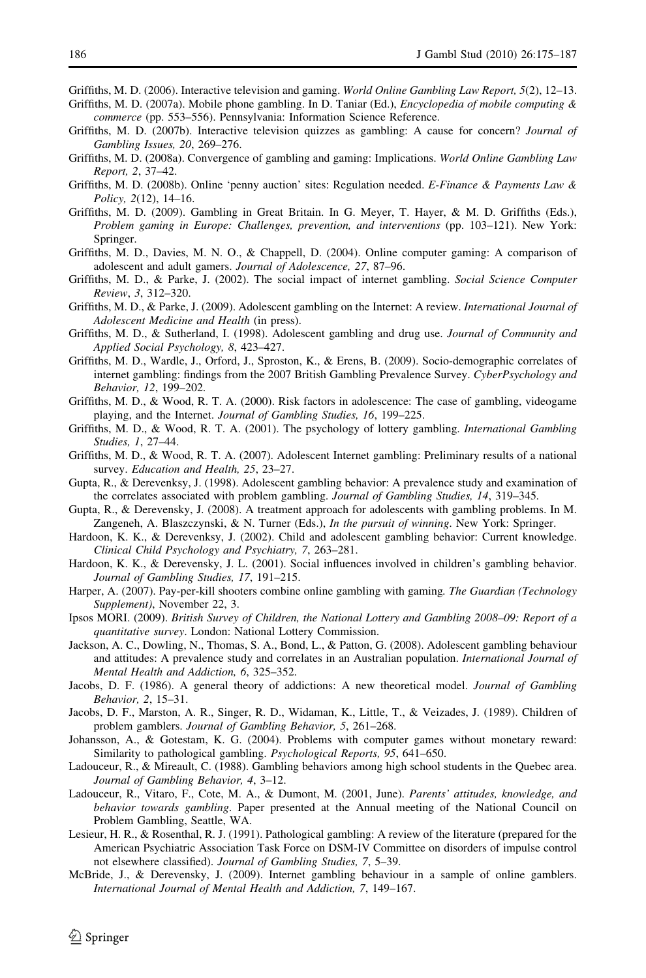- <span id="page-11-0"></span>Griffiths, M. D. (2006). Interactive television and gaming. World Online Gambling Law Report, 5(2), 12–13.
- Griffiths, M. D. (2007a). Mobile phone gambling. In D. Taniar (Ed.), *Encyclopedia of mobile computing &* commerce (pp. 553–556). Pennsylvania: Information Science Reference.
- Griffiths, M. D. (2007b). Interactive television quizzes as gambling: A cause for concern? Journal of Gambling Issues, 20, 269–276.
- Griffiths, M. D. (2008a). Convergence of gambling and gaming: Implications. World Online Gambling Law Report, 2, 37–42.
- Griffiths, M. D. (2008b). Online 'penny auction' sites: Regulation needed. E-Finance & Payments Law & Policy, 2(12), 14–16.
- Griffiths, M. D. (2009). Gambling in Great Britain. In G. Meyer, T. Hayer, & M. D. Griffiths (Eds.), Problem gaming in Europe: Challenges, prevention, and interventions (pp. 103–121). New York: Springer.
- Griffiths, M. D., Davies, M. N. O., & Chappell, D. (2004). Online computer gaming: A comparison of adolescent and adult gamers. Journal of Adolescence, 27, 87–96.
- Griffiths, M. D., & Parke, J. (2002). The social impact of internet gambling. Social Science Computer Review, 3, 312–320.
- Griffiths, M. D., & Parke, J. (2009). Adolescent gambling on the Internet: A review. International Journal of Adolescent Medicine and Health (in press).
- Griffiths, M. D., & Sutherland, I. (1998). Adolescent gambling and drug use. Journal of Community and Applied Social Psychology, 8, 423–427.
- Griffiths, M. D., Wardle, J., Orford, J., Sproston, K., & Erens, B. (2009). Socio-demographic correlates of internet gambling: findings from the 2007 British Gambling Prevalence Survey. CyberPsychology and Behavior, 12, 199–202.
- Griffiths, M. D., & Wood, R. T. A. (2000). Risk factors in adolescence: The case of gambling, videogame playing, and the Internet. Journal of Gambling Studies, 16, 199–225.
- Griffiths, M. D., & Wood, R. T. A. (2001). The psychology of lottery gambling. International Gambling Studies, 1, 27–44.
- Griffiths, M. D., & Wood, R. T. A. (2007). Adolescent Internet gambling: Preliminary results of a national survey. Education and Health, 25, 23–27.
- Gupta, R., & Derevenksy, J. (1998). Adolescent gambling behavior: A prevalence study and examination of the correlates associated with problem gambling. Journal of Gambling Studies, 14, 319–345.
- Gupta, R., & Derevensky, J. (2008). A treatment approach for adolescents with gambling problems. In M. Zangeneh, A. Blaszczynski, & N. Turner (Eds.), In the pursuit of winning. New York: Springer.
- Hardoon, K. K., & Derevenksy, J. (2002). Child and adolescent gambling behavior: Current knowledge. Clinical Child Psychology and Psychiatry, 7, 263–281.
- Hardoon, K. K., & Derevensky, J. L. (2001). Social influences involved in children's gambling behavior. Journal of Gambling Studies, 17, 191–215.
- Harper, A. (2007). Pay-per-kill shooters combine online gambling with gaming. The Guardian (Technology Supplement), November 22, 3.
- Ipsos MORI. (2009). British Survey of Children, the National Lottery and Gambling 2008–09: Report of a quantitative survey. London: National Lottery Commission.
- Jackson, A. C., Dowling, N., Thomas, S. A., Bond, L., & Patton, G. (2008). Adolescent gambling behaviour and attitudes: A prevalence study and correlates in an Australian population. International Journal of Mental Health and Addiction, 6, 325–352.
- Jacobs, D. F. (1986). A general theory of addictions: A new theoretical model. Journal of Gambling Behavior, 2, 15–31.
- Jacobs, D. F., Marston, A. R., Singer, R. D., Widaman, K., Little, T., & Veizades, J. (1989). Children of problem gamblers. Journal of Gambling Behavior, 5, 261–268.
- Johansson, A., & Gotestam, K. G. (2004). Problems with computer games without monetary reward: Similarity to pathological gambling. Psychological Reports, 95, 641–650.
- Ladouceur, R., & Mireault, C. (1988). Gambling behaviors among high school students in the Quebec area. Journal of Gambling Behavior, 4, 3–12.
- Ladouceur, R., Vitaro, F., Cote, M. A., & Dumont, M. (2001, June). Parents' attitudes, knowledge, and behavior towards gambling. Paper presented at the Annual meeting of the National Council on Problem Gambling, Seattle, WA.
- Lesieur, H. R., & Rosenthal, R. J. (1991). Pathological gambling: A review of the literature (prepared for the American Psychiatric Association Task Force on DSM-IV Committee on disorders of impulse control not elsewhere classified). Journal of Gambling Studies, 7, 5–39.
- McBride, J., & Derevensky, J. (2009). Internet gambling behaviour in a sample of online gamblers. International Journal of Mental Health and Addiction, 7, 149–167.